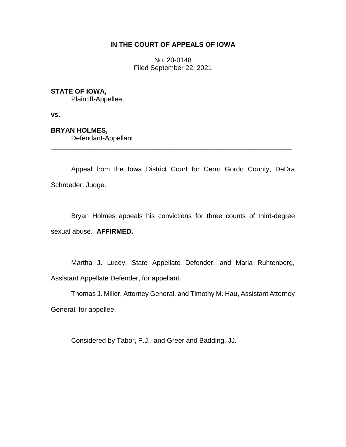## **IN THE COURT OF APPEALS OF IOWA**

No. 20-0148 Filed September 22, 2021

### **STATE OF IOWA,**

Plaintiff-Appellee,

**vs.**

### **BRYAN HOLMES,**

Defendant-Appellant.

Appeal from the Iowa District Court for Cerro Gordo County, DeDra Schroeder, Judge.

\_\_\_\_\_\_\_\_\_\_\_\_\_\_\_\_\_\_\_\_\_\_\_\_\_\_\_\_\_\_\_\_\_\_\_\_\_\_\_\_\_\_\_\_\_\_\_\_\_\_\_\_\_\_\_\_\_\_\_\_\_\_\_\_

Bryan Holmes appeals his convictions for three counts of third-degree sexual abuse. **AFFIRMED.**

Martha J. Lucey, State Appellate Defender, and Maria Ruhtenberg, Assistant Appellate Defender, for appellant.

Thomas J. Miller, Attorney General, and Timothy M. Hau, Assistant Attorney General, for appellee.

Considered by Tabor, P.J., and Greer and Badding, JJ.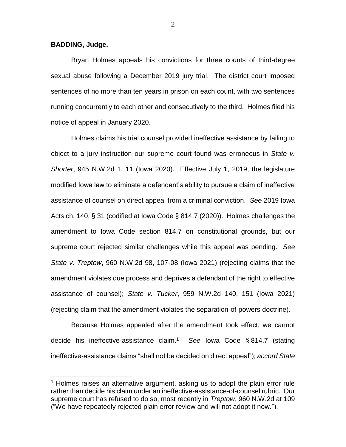#### **BADDING, Judge.**

 $\overline{a}$ 

Bryan Holmes appeals his convictions for three counts of third-degree sexual abuse following a December 2019 jury trial. The district court imposed sentences of no more than ten years in prison on each count, with two sentences running concurrently to each other and consecutively to the third. Holmes filed his notice of appeal in January 2020.

Holmes claims his trial counsel provided ineffective assistance by failing to object to a jury instruction our supreme court found was erroneous in *State v. Shorter*, 945 N.W.2d 1, 11 (Iowa 2020). Effective July 1, 2019, the legislature modified Iowa law to eliminate a defendant's ability to pursue a claim of ineffective assistance of counsel on direct appeal from a criminal conviction. *See* 2019 Iowa Acts ch. 140, § 31 (codified at Iowa Code § 814.7 (2020)). Holmes challenges the amendment to Iowa Code section 814.7 on constitutional grounds, but our supreme court rejected similar challenges while this appeal was pending. *See State v. Treptow*, 960 N.W.2d 98, 107-08 (Iowa 2021) (rejecting claims that the amendment violates due process and deprives a defendant of the right to effective assistance of counsel); *State v. Tucker*, 959 N.W.2d 140, 151 (Iowa 2021) (rejecting claim that the amendment violates the separation-of-powers doctrine).

Because Holmes appealed after the amendment took effect, we cannot decide his ineffective-assistance claim.<sup>1</sup> *See* Iowa Code § 814.7 (stating ineffective-assistance claims "shall not be decided on direct appeal"); *accord State* 

2

<sup>1</sup> Holmes raises an alternative argument, asking us to adopt the plain error rule rather than decide his claim under an ineffective-assistance-of-counsel rubric. Our supreme court has refused to do so, most recently in *Treptow*, 960 N.W.2d at 109 ("We have repeatedly rejected plain error review and will not adopt it now.").